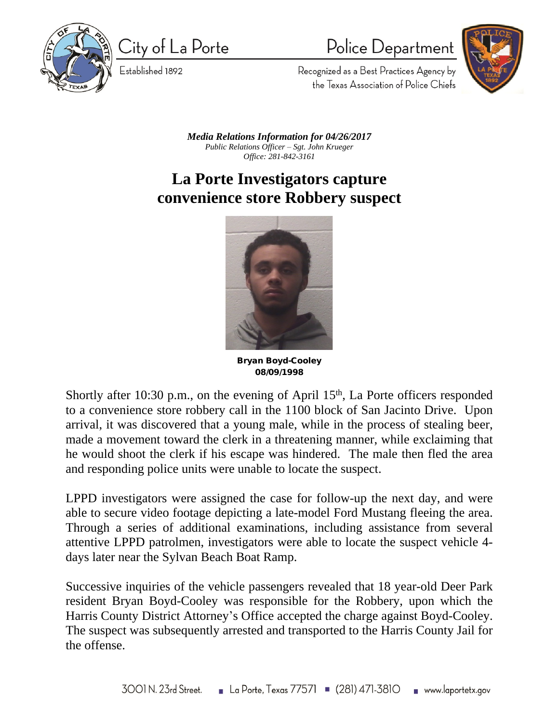

City of La Porte

Established 1892

Police Department



Recognized as a Best Practices Agency by the Texas Association of Police Chiefs

*Media Relations Information for 04/26/2017 Public Relations Officer – Sgt. John Krueger Office: 281-842-3161*

## **La Porte Investigators capture convenience store Robbery suspect**



**Bryan Boyd-Cooley 08/09/1998**

Shortly after 10:30 p.m., on the evening of April 15<sup>th</sup>, La Porte officers responded to a convenience store robbery call in the 1100 block of San Jacinto Drive. Upon arrival, it was discovered that a young male, while in the process of stealing beer, made a movement toward the clerk in a threatening manner, while exclaiming that he would shoot the clerk if his escape was hindered. The male then fled the area and responding police units were unable to locate the suspect.

LPPD investigators were assigned the case for follow-up the next day, and were able to secure video footage depicting a late-model Ford Mustang fleeing the area. Through a series of additional examinations, including assistance from several attentive LPPD patrolmen, investigators were able to locate the suspect vehicle 4 days later near the Sylvan Beach Boat Ramp.

Successive inquiries of the vehicle passengers revealed that 18 year-old Deer Park resident Bryan Boyd-Cooley was responsible for the Robbery, upon which the Harris County District Attorney's Office accepted the charge against Boyd-Cooley. The suspect was subsequently arrested and transported to the Harris County Jail for the offense.